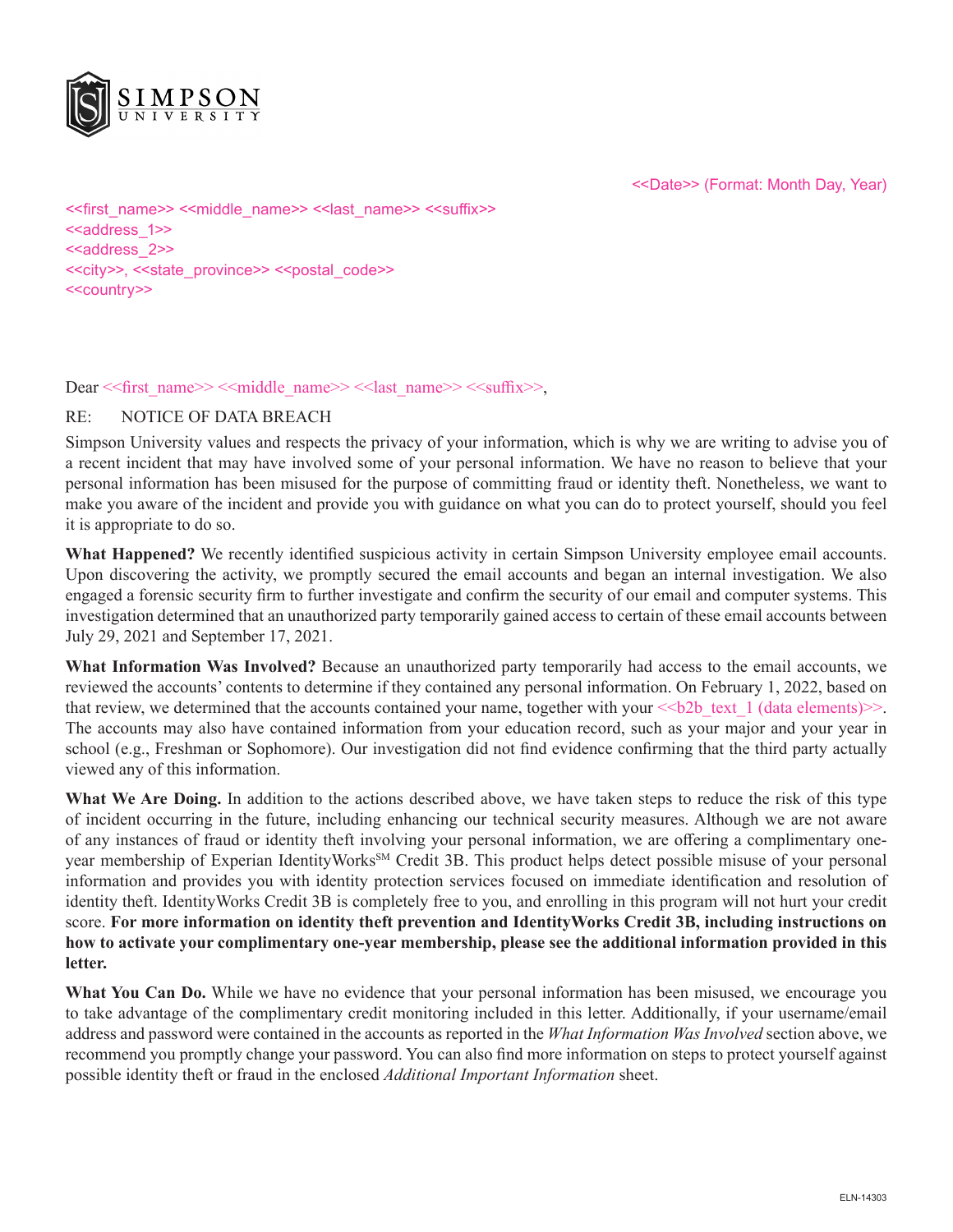

<<Date>> (Format: Month Day, Year)

<<first\_name>> <<middle\_name>> <<last\_name>> <<suffix>> <<aaddress\_1>> <<address 2>> <<city>>, <<state\_province>> <<postal\_code>> <<country>>

Dear << first\_name>> <<middle\_name>> << last\_name>> << suffix>>,

#### RE: NOTICE OF DATA BREACH

Simpson University values and respects the privacy of your information, which is why we are writing to advise you of a recent incident that may have involved some of your personal information. We have no reason to believe that your personal information has been misused for the purpose of committing fraud or identity theft. Nonetheless, we want to make you aware of the incident and provide you with guidance on what you can do to protect yourself, should you feel it is appropriate to do so.

**What Happened?** We recently identified suspicious activity in certain Simpson University employee email accounts. Upon discovering the activity, we promptly secured the email accounts and began an internal investigation. We also engaged a forensic security firm to further investigate and confirm the security of our email and computer systems. This investigation determined that an unauthorized party temporarily gained access to certain of these email accounts between July 29, 2021 and September 17, 2021.

**What Information Was Involved?** Because an unauthorized party temporarily had access to the email accounts, we reviewed the accounts' contents to determine if they contained any personal information. On February 1, 2022, based on that review, we determined that the accounts contained your name, together with your  $\leq b2b$  text 1 (data elements) $\geq$ . The accounts may also have contained information from your education record, such as your major and your year in school (e.g., Freshman or Sophomore). Our investigation did not find evidence confirming that the third party actually viewed any of this information.

**What We Are Doing.** In addition to the actions described above, we have taken steps to reduce the risk of this type of incident occurring in the future, including enhancing our technical security measures. Although we are not aware of any instances of fraud or identity theft involving your personal information, we are offering a complimentary oneyear membership of Experian IdentityWorks<sup>SM</sup> Credit 3B. This product helps detect possible misuse of your personal information and provides you with identity protection services focused on immediate identification and resolution of identity theft. IdentityWorks Credit 3B is completely free to you, and enrolling in this program will not hurt your credit score. **For more information on identity theft prevention and IdentityWorks Credit 3B, including instructions on how to activate your complimentary one-year membership, please see the additional information provided in this letter.**

**What You Can Do.** While we have no evidence that your personal information has been misused, we encourage you to take advantage of the complimentary credit monitoring included in this letter. Additionally, if your username/email address and password were contained in the accounts as reported in the *What Information Was Involved* section above, we recommend you promptly change your password. You can also find more information on steps to protect yourself against possible identity theft or fraud in the enclosed *Additional Important Information* sheet.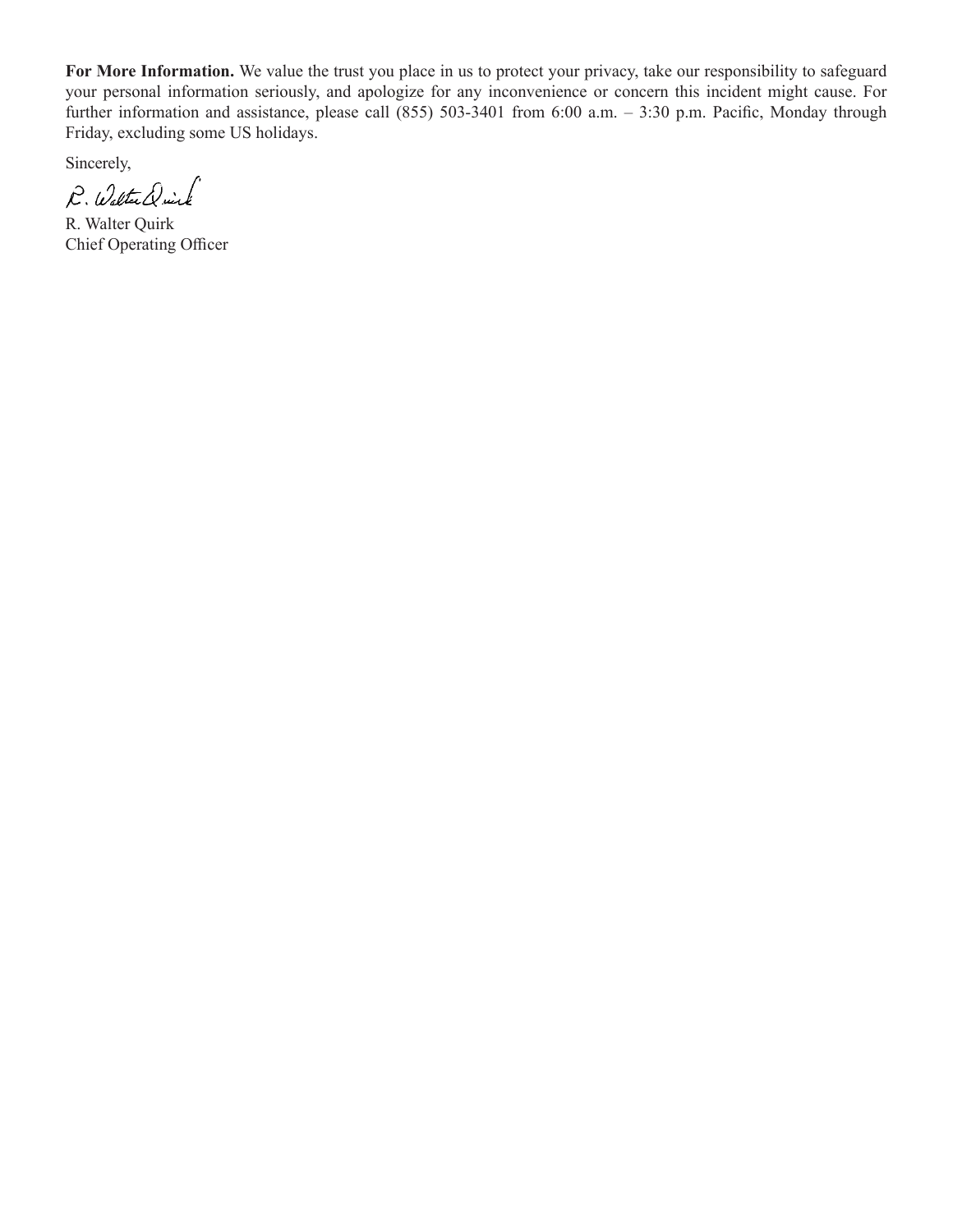**For More Information.** We value the trust you place in us to protect your privacy, take our responsibility to safeguard your personal information seriously, and apologize for any inconvenience or concern this incident might cause. For further information and assistance, please call (855) 503-3401 from 6:00 a.m. – 3:30 p.m. Pacific, Monday through Friday, excluding some US holidays.

Sincerely,

P. Walter Drink

R. Walter Quirk Chief Operating Officer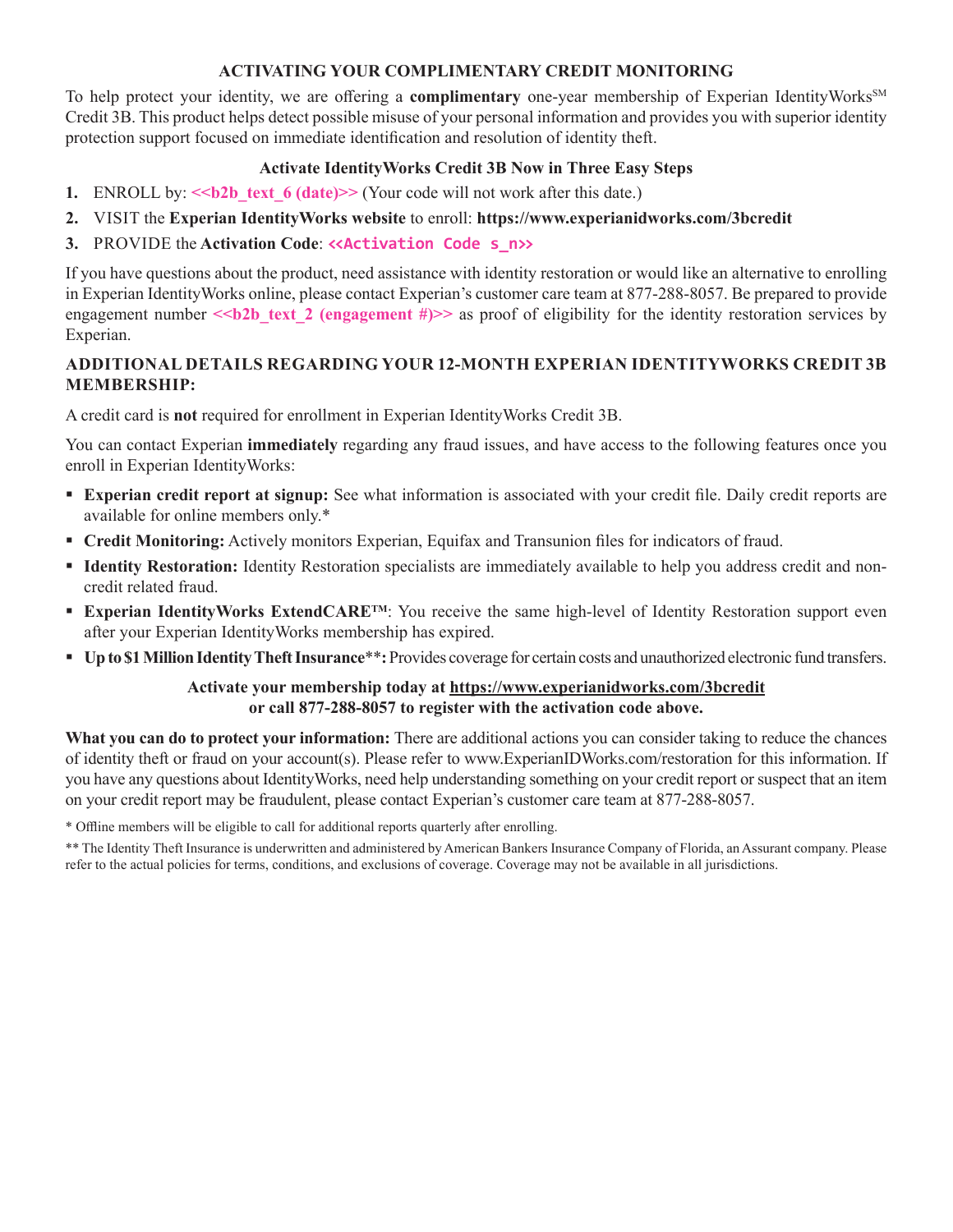### **ACTIVATING YOUR COMPLIMENTARY CREDIT MONITORING**

To help protect your identity, we are offering a **complimentary** one-year membership of Experian IdentityWorks<sup>SM</sup> Credit 3B. This product helps detect possible misuse of your personal information and provides you with superior identity protection support focused on immediate identification and resolution of identity theft.

## **Activate IdentityWorks Credit 3B Now in Three Easy Steps**

- **1.** ENROLL by: << b2b text 6 (date)>> (Your code will not work after this date.)
- **2.** VISIT the **Experian IdentityWorks website** to enroll: **https://www.experianidworks.com/3bcredit**
- **3.** PROVIDE the **Activation Code**: **<<Activation Code s\_n>>**

If you have questions about the product, need assistance with identity restoration or would like an alternative to enrolling in Experian IdentityWorks online, please contact Experian's customer care team at 877-288-8057. Be prepared to provide engagement number  $\le b2b$  text 2 (engagement #)>> as proof of eligibility for the identity restoration services by Experian.

# **ADDITIONAL DETAILS REGARDING YOUR 12-MONTH EXPERIAN IDENTITYWORKS CREDIT 3B MEMBERSHIP:**

A credit card is **not** required for enrollment in Experian IdentityWorks Credit 3B.

You can contact Experian **immediately** regarding any fraud issues, and have access to the following features once you enroll in Experian IdentityWorks:

- **Experian credit report at signup:** See what information is associated with your credit file. Daily credit reports are available for online members only.\*
- **Credit Monitoring:** Actively monitors Experian, Equifax and Transunion files for indicators of fraud.
- **Identity Restoration:** Identity Restoration specialists are immediately available to help you address credit and noncredit related fraud.
- **Experian IdentityWorks ExtendCARE<sup>TM</sup>:** You receive the same high-level of Identity Restoration support even after your Experian IdentityWorks membership has expired.
- **Up to \$1 Million Identity Theft Insurance**\*\***:** Provides coverage for certain costs and unauthorized electronic fund transfers.

## **Activate your membership today at https://www.experianidworks.com/3bcredit or call 877-288-8057 to register with the activation code above.**

**What you can do to protect your information:** There are additional actions you can consider taking to reduce the chances of identity theft or fraud on your account(s). Please refer to www.ExperianIDWorks.com/restoration for this information. If you have any questions about IdentityWorks, need help understanding something on your credit report or suspect that an item on your credit report may be fraudulent, please contact Experian's customer care team at 877-288-8057.

\* Offline members will be eligible to call for additional reports quarterly after enrolling.

\*\* The Identity Theft Insurance is underwritten and administered by American Bankers Insurance Company of Florida, an Assurant company. Please refer to the actual policies for terms, conditions, and exclusions of coverage. Coverage may not be available in all jurisdictions.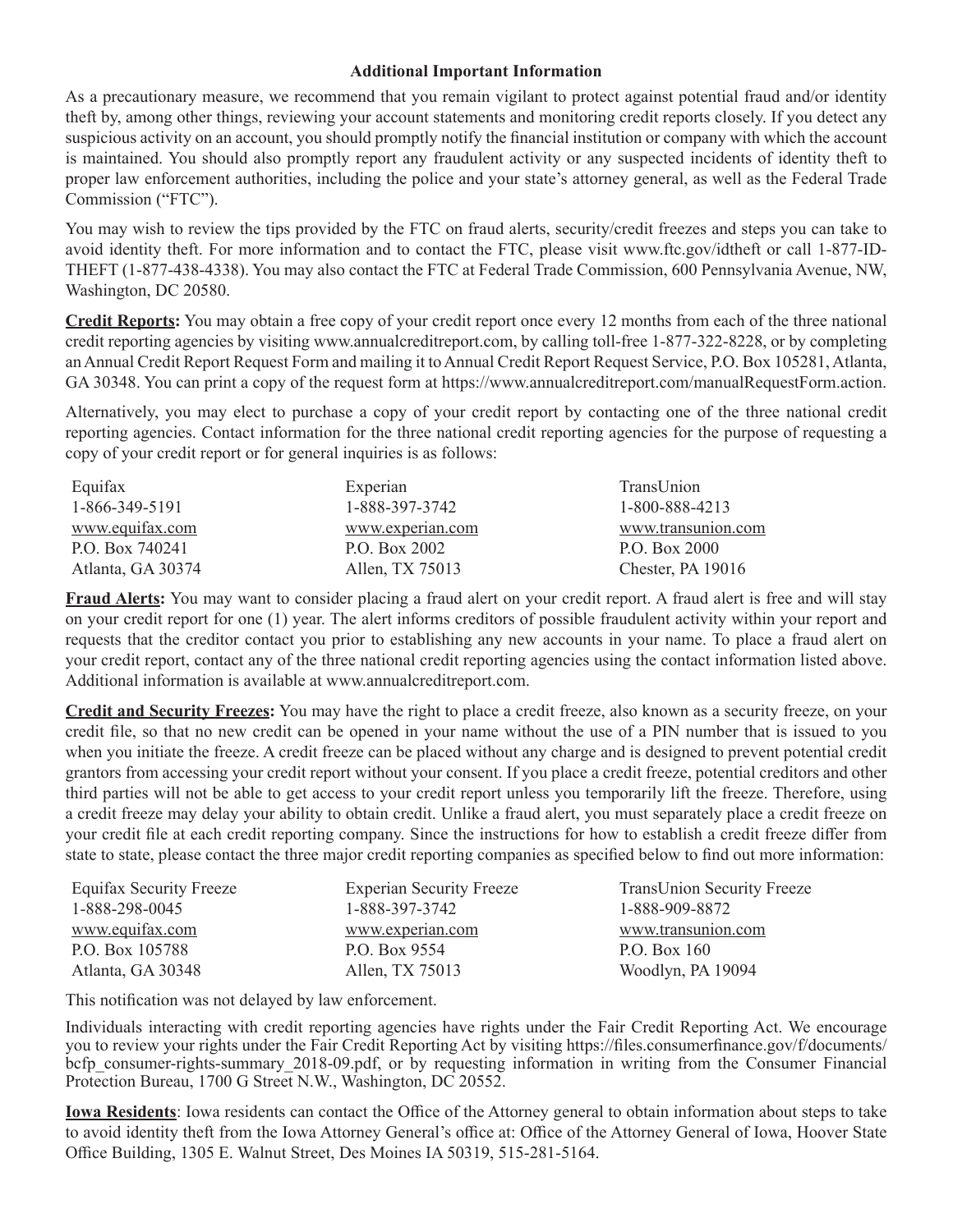#### **Additional Important Information**

As a precautionary measure, we recommend that you remain vigilant to protect against potential fraud and/or identity theft by, among other things, reviewing your account statements and monitoring credit reports closely. If you detect any suspicious activity on an account, you should promptly notify the financial institution or company with which the account is maintained. You should also promptly report any fraudulent activity or any suspected incidents of identity theft to proper law enforcement authorities, including the police and your state's attorney general, as well as the Federal Trade Commission ("FTC").

You may wish to review the tips provided by the FTC on fraud alerts, security/credit freezes and steps you can take to avoid identity theft. For more information and to contact the FTC, please visit www.ftc.gov/idtheft or call 1-877-ID-THEFT (1-877-438-4338). You may also contact the FTC at Federal Trade Commission, 600 Pennsylvania Avenue, NW, Washington, DC 20580.

**Credit Reports:** You may obtain a free copy of your credit report once every 12 months from each of the three national credit reporting agencies by visiting www.annualcreditreport.com, by calling toll-free 1-877-322-8228, or by completing an Annual Credit Report Request Form and mailing it to Annual Credit Report Request Service, P.O. Box 105281, Atlanta, GA 30348. You can print a copy of the request form at https://www.annualcreditreport.com/manualRequestForm.action.

Alternatively, you may elect to purchase a copy of your credit report by contacting one of the three national credit reporting agencies. Contact information for the three national credit reporting agencies for the purpose of requesting a copy of your credit report or for general inquiries is as follows:

| Equifax           | Experian         | TransUnion         |
|-------------------|------------------|--------------------|
| 1-866-349-5191    | 1-888-397-3742   | 1-800-888-4213     |
| www.equifax.com   | www.experian.com | www.transunion.com |
| P.O. Box 740241   | P.O. Box 2002    | P.O. Box 2000      |
| Atlanta, GA 30374 | Allen, TX 75013  | Chester, PA 19016  |

**Fraud Alerts:** You may want to consider placing a fraud alert on your credit report. A fraud alert is free and will stay on your credit report for one (1) year. The alert informs creditors of possible fraudulent activity within your report and requests that the creditor contact you prior to establishing any new accounts in your name. To place a fraud alert on your credit report, contact any of the three national credit reporting agencies using the contact information listed above. Additional information is available at www.annualcreditreport.com.

**Credit and Security Freezes:** You may have the right to place a credit freeze, also known as a security freeze, on your credit file, so that no new credit can be opened in your name without the use of a PIN number that is issued to you when you initiate the freeze. A credit freeze can be placed without any charge and is designed to prevent potential credit grantors from accessing your credit report without your consent. If you place a credit freeze, potential creditors and other third parties will not be able to get access to your credit report unless you temporarily lift the freeze. Therefore, using a credit freeze may delay your ability to obtain credit. Unlike a fraud alert, you must separately place a credit freeze on your credit file at each credit reporting company. Since the instructions for how to establish a credit freeze differ from state to state, please contact the three major credit reporting companies as specified below to find out more information:

| <b>Equifax Security Freeze</b> | <b>Experian Security Freeze</b> | <b>TransUnion Security Freeze</b> |
|--------------------------------|---------------------------------|-----------------------------------|
| 1-888-298-0045                 | 1-888-397-3742                  | 1-888-909-8872                    |
| www.equifax.com                | www.experian.com                | www.transunion.com                |
| P.O. Box 105788                | P.O. Box 9554                   | P.O. Box 160                      |
| Atlanta, GA 30348              | Allen, TX 75013                 | Woodlyn, PA 19094                 |

This notification was not delayed by law enforcement.

Individuals interacting with credit reporting agencies have rights under the Fair Credit Reporting Act. We encourage you to review your rights under the Fair Credit Reporting Act by visiting https://files.consumerfinance.gov/f/documents/ bcfp consumer-rights-summary 2018-09.pdf, or by requesting information in writing from the Consumer Financial Protection Bureau, 1700 G Street N.W., Washington, DC 20552.

**Iowa Residents**: Iowa residents can contact the Office of the Attorney general to obtain information about steps to take to avoid identity theft from the Iowa Attorney General's office at: Office of the Attorney General of Iowa, Hoover State Office Building, 1305 E. Walnut Street, Des Moines IA 50319, 515-281-5164.